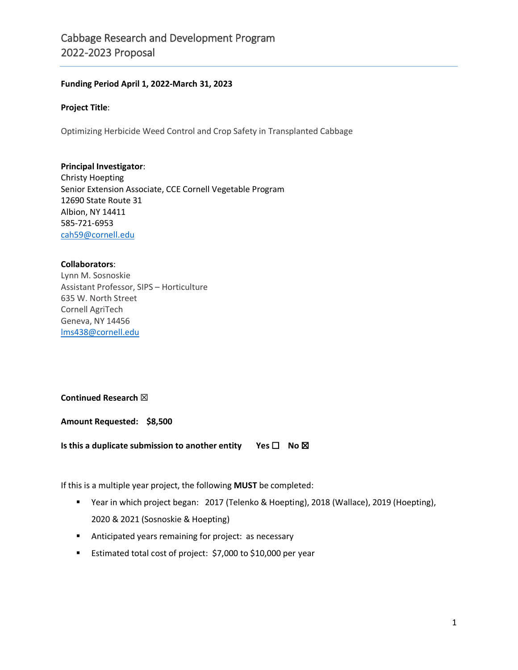#### **Funding Period April 1, 2022-March 31, 2023**

#### **Project Title**:

Optimizing Herbicide Weed Control and Crop Safety in Transplanted Cabbage

#### **Principal Investigator**:

Christy Hoepting Senior Extension Associate, CCE Cornell Vegetable Program 12690 State Route 31 Albion, NY 14411 585-721-6953 [cah59@cornell.edu](mailto:cah59@cornell.edu)

#### **Collaborators**:

Lynn M. Sosnoskie Assistant Professor, SIPS – Horticulture 635 W. North Street Cornell AgriTech Geneva, NY 14456 [lms438@cornell.edu](mailto:lms438@cornell.edu)

#### **Continued Research** ☒

**Amount Requested: \$8,500**

**Is this a duplicate submission to another entity Yes □ No ⊠** 

If this is a multiple year project, the following **MUST** be completed:

- Year in which project began: 2017 (Telenko & Hoepting), 2018 (Wallace), 2019 (Hoepting), 2020 & 2021 (Sosnoskie & Hoepting)
- **Anticipated years remaining for project: as necessary**
- **Estimated total cost of project: \$7,000 to \$10,000 per year**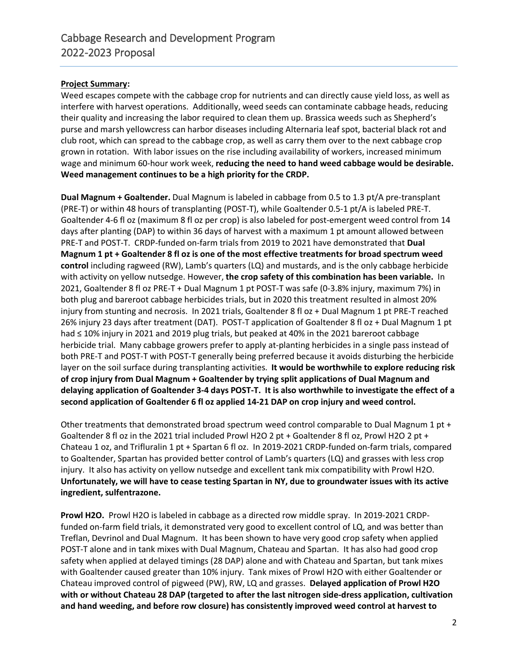#### **Project Summary:**

Weed escapes compete with the cabbage crop for nutrients and can directly cause yield loss, as well as interfere with harvest operations. Additionally, weed seeds can contaminate cabbage heads, reducing their quality and increasing the labor required to clean them up. Brassica weeds such as Shepherd's purse and marsh yellowcress can harbor diseases including Alternaria leaf spot, bacterial black rot and club root, which can spread to the cabbage crop, as well as carry them over to the next cabbage crop grown in rotation. With labor issues on the rise including availability of workers, increased minimum wage and minimum 60-hour work week, **reducing the need to hand weed cabbage would be desirable. Weed management continues to be a high priority for the CRDP.**

**Dual Magnum + Goaltender.** Dual Magnum is labeled in cabbage from 0.5 to 1.3 pt/A pre-transplant (PRE-T) or within 48 hours of transplanting (POST-T), while Goaltender 0.5-1 pt/A is labeled PRE-T. Goaltender 4-6 fl oz (maximum 8 fl oz per crop) is also labeled for post-emergent weed control from 14 days after planting (DAP) to within 36 days of harvest with a maximum 1 pt amount allowed between PRE-T and POST-T. CRDP-funded on-farm trials from 2019 to 2021 have demonstrated that **Dual Magnum 1 pt + Goaltender 8 fl oz is one of the most effective treatments for broad spectrum weed control** including ragweed (RW), Lamb's quarters (LQ) and mustards, and is the only cabbage herbicide with activity on yellow nutsedge. However, **the crop safety of this combination has been variable.** In 2021, Goaltender 8 fl oz PRE-T + Dual Magnum 1 pt POST-T was safe (0-3.8% injury, maximum 7%) in both plug and bareroot cabbage herbicides trials, but in 2020 this treatment resulted in almost 20% injury from stunting and necrosis. In 2021 trials, Goaltender 8 fl oz + Dual Magnum 1 pt PRE-T reached 26% injury 23 days after treatment (DAT). POST-T application of Goaltender 8 fl oz + Dual Magnum 1 pt had ≤ 10% injury in 2021 and 2019 plug trials, but peaked at 40% in the 2021 bareroot cabbage herbicide trial. Many cabbage growers prefer to apply at-planting herbicides in a single pass instead of both PRE-T and POST-T with POST-T generally being preferred because it avoids disturbing the herbicide layer on the soil surface during transplanting activities. **It would be worthwhile to explore reducing risk of crop injury from Dual Magnum + Goaltender by trying split applications of Dual Magnum and delaying application of Goaltender 3-4 days POST-T. It is also worthwhile to investigate the effect of a second application of Goaltender 6 fl oz applied 14-21 DAP on crop injury and weed control.**

Other treatments that demonstrated broad spectrum weed control comparable to Dual Magnum 1 pt + Goaltender 8 fl oz in the 2021 trial included Prowl H2O 2 pt + Goaltender 8 fl oz, Prowl H2O 2 pt + Chateau 1 oz, and Trifluralin 1 pt + Spartan 6 fl oz. In 2019-2021 CRDP-funded on-farm trials, compared to Goaltender, Spartan has provided better control of Lamb's quarters (LQ) and grasses with less crop injury. It also has activity on yellow nutsedge and excellent tank mix compatibility with Prowl H2O. **Unfortunately, we will have to cease testing Spartan in NY, due to groundwater issues with its active ingredient, sulfentrazone.**

**Prowl H2O.** Prowl H2O is labeled in cabbage as a directed row middle spray. In 2019-2021 CRDPfunded on-farm field trials, it demonstrated very good to excellent control of LQ, and was better than Treflan, Devrinol and Dual Magnum. It has been shown to have very good crop safety when applied POST-T alone and in tank mixes with Dual Magnum, Chateau and Spartan. It has also had good crop safety when applied at delayed timings (28 DAP) alone and with Chateau and Spartan, but tank mixes with Goaltender caused greater than 10% injury. Tank mixes of Prowl H2O with either Goaltender or Chateau improved control of pigweed (PW), RW, LQ and grasses. **Delayed application of Prowl H2O with or without Chateau 28 DAP (targeted to after the last nitrogen side-dress application, cultivation and hand weeding, and before row closure) has consistently improved weed control at harvest to**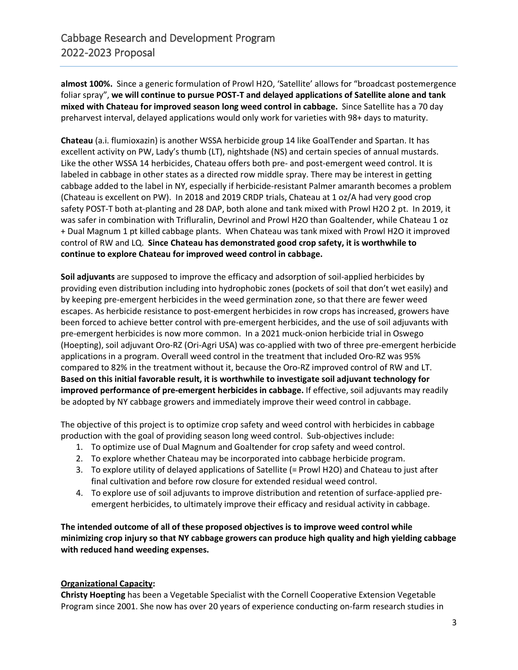**almost 100%.** Since a generic formulation of Prowl H2O, 'Satellite' allows for "broadcast postemergence foliar spray", **we will continue to pursue POST-T and delayed applications of Satellite alone and tank mixed with Chateau for improved season long weed control in cabbage.** Since Satellite has a 70 day preharvest interval, delayed applications would only work for varieties with 98+ days to maturity.

**Chateau** (a.i. flumioxazin) is another WSSA herbicide group 14 like GoalTender and Spartan. It has excellent activity on PW, Lady's thumb (LT), nightshade (NS) and certain species of annual mustards. Like the other WSSA 14 herbicides, Chateau offers both pre- and post-emergent weed control. It is labeled in cabbage in other states as a directed row middle spray. There may be interest in getting cabbage added to the label in NY, especially if herbicide-resistant Palmer amaranth becomes a problem (Chateau is excellent on PW). In 2018 and 2019 CRDP trials, Chateau at 1 oz/A had very good crop safety POST-T both at-planting and 28 DAP, both alone and tank mixed with Prowl H2O 2 pt. In 2019, it was safer in combination with Trifluralin, Devrinol and Prowl H2O than Goaltender, while Chateau 1 oz + Dual Magnum 1 pt killed cabbage plants. When Chateau was tank mixed with Prowl H2O it improved control of RW and LQ. **Since Chateau has demonstrated good crop safety, it is worthwhile to continue to explore Chateau for improved weed control in cabbage.**

**Soil adjuvants** are supposed to improve the efficacy and adsorption of soil-applied herbicides by providing even distribution including into hydrophobic zones (pockets of soil that don't wet easily) and by keeping pre-emergent herbicides in the weed germination zone, so that there are fewer weed escapes. As herbicide resistance to post-emergent herbicides in row crops has increased, growers have been forced to achieve better control with pre-emergent herbicides, and the use of soil adjuvants with pre-emergent herbicides is now more common. In a 2021 muck-onion herbicide trial in Oswego (Hoepting), soil adjuvant Oro-RZ (Ori-Agri USA) was co-applied with two of three pre-emergent herbicide applications in a program. Overall weed control in the treatment that included Oro-RZ was 95% compared to 82% in the treatment without it, because the Oro-RZ improved control of RW and LT. **Based on this initial favorable result, it is worthwhile to investigate soil adjuvant technology for improved performance of pre-emergent herbicides in cabbage.** If effective, soil adjuvants may readily be adopted by NY cabbage growers and immediately improve their weed control in cabbage.

The objective of this project is to optimize crop safety and weed control with herbicides in cabbage production with the goal of providing season long weed control. Sub-objectives include:

- 1. To optimize use of Dual Magnum and Goaltender for crop safety and weed control.
- 2. To explore whether Chateau may be incorporated into cabbage herbicide program.
- 3. To explore utility of delayed applications of Satellite (= Prowl H2O) and Chateau to just after final cultivation and before row closure for extended residual weed control.
- 4. To explore use of soil adjuvants to improve distribution and retention of surface-applied preemergent herbicides, to ultimately improve their efficacy and residual activity in cabbage.

**The intended outcome of all of these proposed objectives is to improve weed control while minimizing crop injury so that NY cabbage growers can produce high quality and high yielding cabbage with reduced hand weeding expenses.** 

#### **Organizational Capacity:**

**Christy Hoepting** has been a Vegetable Specialist with the Cornell Cooperative Extension Vegetable Program since 2001. She now has over 20 years of experience conducting on-farm research studies in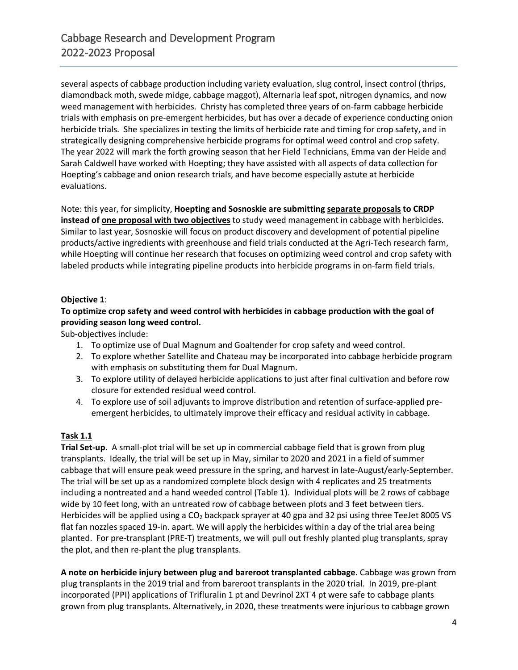several aspects of cabbage production including variety evaluation, slug control, insect control (thrips, diamondback moth, swede midge, cabbage maggot), Alternaria leaf spot, nitrogen dynamics, and now weed management with herbicides. Christy has completed three years of on-farm cabbage herbicide trials with emphasis on pre-emergent herbicides, but has over a decade of experience conducting onion herbicide trials. She specializes in testing the limits of herbicide rate and timing for crop safety, and in strategically designing comprehensive herbicide programs for optimal weed control and crop safety. The year 2022 will mark the forth growing season that her Field Technicians, Emma van der Heide and Sarah Caldwell have worked with Hoepting; they have assisted with all aspects of data collection for Hoepting's cabbage and onion research trials, and have become especially astute at herbicide evaluations.

Note: this year, for simplicity, **Hoepting and Sosnoskie are submitting separate proposals to CRDP instead of one proposal with two objectives** to study weed management in cabbage with herbicides. Similar to last year, Sosnoskie will focus on product discovery and development of potential pipeline products/active ingredients with greenhouse and field trials conducted at the Agri-Tech research farm, while Hoepting will continue her research that focuses on optimizing weed control and crop safety with labeled products while integrating pipeline products into herbicide programs in on-farm field trials.

#### **Objective 1**:

## **To optimize crop safety and weed control with herbicides in cabbage production with the goal of providing season long weed control.**

Sub-objectives include:

- 1. To optimize use of Dual Magnum and Goaltender for crop safety and weed control.
- 2. To explore whether Satellite and Chateau may be incorporated into cabbage herbicide program with emphasis on substituting them for Dual Magnum.
- 3. To explore utility of delayed herbicide applications to just after final cultivation and before row closure for extended residual weed control.
- 4. To explore use of soil adjuvants to improve distribution and retention of surface-applied preemergent herbicides, to ultimately improve their efficacy and residual activity in cabbage.

#### **Task 1.1**

**Trial Set-up.** A small-plot trial will be set up in commercial cabbage field that is grown from plug transplants. Ideally, the trial will be set up in May, similar to 2020 and 2021 in a field of summer cabbage that will ensure peak weed pressure in the spring, and harvest in late-August/early-September. The trial will be set up as a randomized complete block design with 4 replicates and 25 treatments including a nontreated and a hand weeded control (Table 1). Individual plots will be 2 rows of cabbage wide by 10 feet long, with an untreated row of cabbage between plots and 3 feet between tiers. Herbicides will be applied using a CO<sub>2</sub> backpack sprayer at 40 gpa and 32 psi using three TeeJet 8005 VS flat fan nozzles spaced 19-in. apart. We will apply the herbicides within a day of the trial area being planted. For pre-transplant (PRE-T) treatments, we will pull out freshly planted plug transplants, spray the plot, and then re-plant the plug transplants.

**A note on herbicide injury between plug and bareroot transplanted cabbage.** Cabbage was grown from plug transplants in the 2019 trial and from bareroot transplants in the 2020 trial. In 2019, pre-plant incorporated (PPI) applications of Trifluralin 1 pt and Devrinol 2XT 4 pt were safe to cabbage plants grown from plug transplants. Alternatively, in 2020, these treatments were injurious to cabbage grown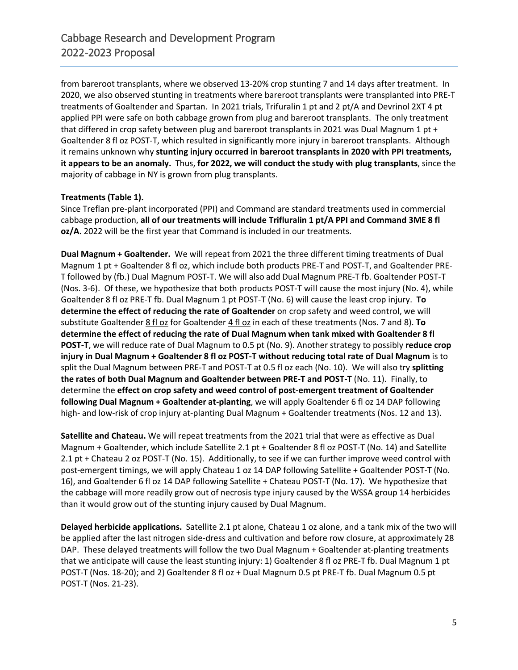from bareroot transplants, where we observed 13-20% crop stunting 7 and 14 days after treatment. In 2020, we also observed stunting in treatments where bareroot transplants were transplanted into PRE-T treatments of Goaltender and Spartan. In 2021 trials, Trifuralin 1 pt and 2 pt/A and Devrinol 2XT 4 pt applied PPI were safe on both cabbage grown from plug and bareroot transplants. The only treatment that differed in crop safety between plug and bareroot transplants in 2021 was Dual Magnum 1 pt + Goaltender 8 fl oz POST-T, which resulted in significantly more injury in bareroot transplants. Although it remains unknown why **stunting injury occurred in bareroot transplants in 2020 with PPI treatments, it appears to be an anomaly.** Thus, **for 2022, we will conduct the study with plug transplants**, since the majority of cabbage in NY is grown from plug transplants.

#### **Treatments (Table 1).**

Since Treflan pre-plant incorporated (PPI) and Command are standard treatments used in commercial cabbage production, **all of our treatments will include Trifluralin 1 pt/A PPI and Command 3ME 8 fl oz/A.** 2022 will be the first year that Command is included in our treatments.

**Dual Magnum + Goaltender.** We will repeat from 2021 the three different timing treatments of Dual Magnum 1 pt + Goaltender 8 fl oz, which include both products PRE-T and POST-T, and Goaltender PRE-T followed by (fb.) Dual Magnum POST-T. We will also add Dual Magnum PRE-T fb. Goaltender POST-T (Nos. 3-6). Of these, we hypothesize that both products POST-T will cause the most injury (No. 4), while Goaltender 8 fl oz PRE-T fb. Dual Magnum 1 pt POST-T (No. 6) will cause the least crop injury. **To determine the effect of reducing the rate of Goaltender** on crop safety and weed control, we will substitute Goaltender 8 fl oz for Goaltender 4 fl oz in each of these treatments (Nos. 7 and 8). **To determine the effect of reducing the rate of Dual Magnum when tank mixed with Goaltender 8 fl POST-T**, we will reduce rate of Dual Magnum to 0.5 pt (No. 9). Another strategy to possibly **reduce crop injury in Dual Magnum + Goaltender 8 fl oz POST-T without reducing total rate of Dual Magnum** is to split the Dual Magnum between PRE-T and POST-T at 0.5 fl oz each (No. 10). We will also try **splitting the rates of both Dual Magnum and Goaltender between PRE-T and POST-T** (No. 11). Finally, to determine the **effect on crop safety and weed control of post-emergent treatment of Goaltender following Dual Magnum + Goaltender at-planting**, we will apply Goaltender 6 fl oz 14 DAP following high- and low-risk of crop injury at-planting Dual Magnum + Goaltender treatments (Nos. 12 and 13).

**Satellite and Chateau.** We will repeat treatments from the 2021 trial that were as effective as Dual Magnum + Goaltender, which include Satellite 2.1 pt + Goaltender 8 fl oz POST-T (No. 14) and Satellite 2.1 pt + Chateau 2 oz POST-T (No. 15). Additionally, to see if we can further improve weed control with post-emergent timings, we will apply Chateau 1 oz 14 DAP following Satellite + Goaltender POST-T (No. 16), and Goaltender 6 fl oz 14 DAP following Satellite + Chateau POST-T (No. 17). We hypothesize that the cabbage will more readily grow out of necrosis type injury caused by the WSSA group 14 herbicides than it would grow out of the stunting injury caused by Dual Magnum.

**Delayed herbicide applications.** Satellite 2.1 pt alone, Chateau 1 oz alone, and a tank mix of the two will be applied after the last nitrogen side-dress and cultivation and before row closure, at approximately 28 DAP. These delayed treatments will follow the two Dual Magnum + Goaltender at-planting treatments that we anticipate will cause the least stunting injury: 1) Goaltender 8 fl oz PRE-T fb. Dual Magnum 1 pt POST-T (Nos. 18-20); and 2) Goaltender 8 fl oz + Dual Magnum 0.5 pt PRE-T fb. Dual Magnum 0.5 pt POST-T (Nos. 21-23).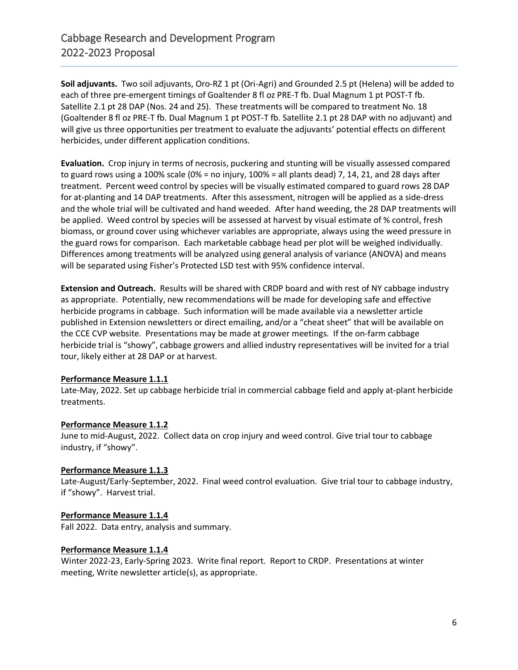**Soil adjuvants.** Two soil adjuvants, Oro-RZ 1 pt (Ori-Agri) and Grounded 2.5 pt (Helena) will be added to each of three pre-emergent timings of Goaltender 8 fl oz PRE-T fb. Dual Magnum 1 pt POST-T fb. Satellite 2.1 pt 28 DAP (Nos. 24 and 25). These treatments will be compared to treatment No. 18 (Goaltender 8 fl oz PRE-T fb. Dual Magnum 1 pt POST-T fb. Satellite 2.1 pt 28 DAP with no adjuvant) and will give us three opportunities per treatment to evaluate the adjuvants' potential effects on different herbicides, under different application conditions.

**Evaluation.** Crop injury in terms of necrosis, puckering and stunting will be visually assessed compared to guard rows using a 100% scale (0% = no injury, 100% = all plants dead) 7, 14, 21, and 28 days after treatment. Percent weed control by species will be visually estimated compared to guard rows 28 DAP for at-planting and 14 DAP treatments. After this assessment, nitrogen will be applied as a side-dress and the whole trial will be cultivated and hand weeded. After hand weeding, the 28 DAP treatments will be applied. Weed control by species will be assessed at harvest by visual estimate of % control, fresh biomass, or ground cover using whichever variables are appropriate, always using the weed pressure in the guard rows for comparison. Each marketable cabbage head per plot will be weighed individually. Differences among treatments will be analyzed using general analysis of variance (ANOVA) and means will be separated using Fisher's Protected LSD test with 95% confidence interval.

**Extension and Outreach.** Results will be shared with CRDP board and with rest of NY cabbage industry as appropriate. Potentially, new recommendations will be made for developing safe and effective herbicide programs in cabbage. Such information will be made available via a newsletter article published in Extension newsletters or direct emailing, and/or a "cheat sheet" that will be available on the CCE CVP website. Presentations may be made at grower meetings. If the on-farm cabbage herbicide trial is "showy", cabbage growers and allied industry representatives will be invited for a trial tour, likely either at 28 DAP or at harvest.

#### **Performance Measure 1.1.1**

Late-May, 2022. Set up cabbage herbicide trial in commercial cabbage field and apply at-plant herbicide treatments.

#### **Performance Measure 1.1.2**

June to mid-August, 2022. Collect data on crop injury and weed control. Give trial tour to cabbage industry, if "showy".

#### **Performance Measure 1.1.3**

Late-August/Early-September, 2022. Final weed control evaluation. Give trial tour to cabbage industry, if "showy". Harvest trial.

#### **Performance Measure 1.1.4**

Fall 2022. Data entry, analysis and summary.

#### **Performance Measure 1.1.4**

Winter 2022-23, Early-Spring 2023. Write final report. Report to CRDP. Presentations at winter meeting, Write newsletter article(s), as appropriate.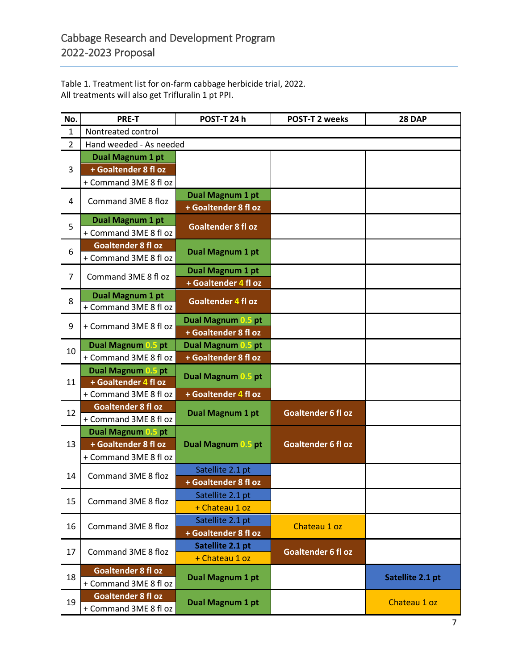Table 1. Treatment list for on-farm cabbage herbicide trial, 2022. All treatments will also get Trifluralin 1 pt PPI.

| No.            | <b>PRE-T</b>                                       | POST-T 24 h               | <b>POST-T 2 weeks</b>     | <b>28 DAP</b>    |  |  |  |  |  |
|----------------|----------------------------------------------------|---------------------------|---------------------------|------------------|--|--|--|--|--|
| $\mathbf{1}$   | Nontreated control                                 |                           |                           |                  |  |  |  |  |  |
| $\overline{2}$ | Hand weeded - As needed                            |                           |                           |                  |  |  |  |  |  |
| 3              | Dual Magnum 1 pt                                   |                           |                           |                  |  |  |  |  |  |
|                | + Goaltender 8 fl oz                               |                           |                           |                  |  |  |  |  |  |
|                | + Command 3ME 8 fl oz                              |                           |                           |                  |  |  |  |  |  |
|                | Command 3ME 8 floz                                 | Dual Magnum 1 pt          |                           |                  |  |  |  |  |  |
| 4              |                                                    | + Goaltender 8 fl oz      |                           |                  |  |  |  |  |  |
| 5              | Dual Magnum 1 pt                                   |                           |                           |                  |  |  |  |  |  |
|                | + Command 3ME 8 fl oz                              | <b>Goaltender 8 fl oz</b> |                           |                  |  |  |  |  |  |
|                | <b>Goaltender 8 fl oz</b>                          | Dual Magnum 1 pt          |                           |                  |  |  |  |  |  |
| 6              | + Command 3ME 8 fl oz                              |                           |                           |                  |  |  |  |  |  |
| $\overline{7}$ | Command 3ME 8 fl oz                                | Dual Magnum 1 pt          |                           |                  |  |  |  |  |  |
|                |                                                    | + Goaltender 4 fl oz      |                           |                  |  |  |  |  |  |
|                | Dual Magnum 1 pt                                   | <b>Goaltender 4 fl oz</b> |                           |                  |  |  |  |  |  |
| 8              | + Command 3ME 8 fl oz                              |                           |                           |                  |  |  |  |  |  |
| 9              | + Command 3ME 8 fl oz                              | Dual Magnum 0.5 pt        |                           |                  |  |  |  |  |  |
|                |                                                    | + Goaltender 8 fl oz      |                           |                  |  |  |  |  |  |
| 10             | <b>Dual Magnum 0.5 pt</b>                          | Dual Magnum 0.5 pt        |                           |                  |  |  |  |  |  |
|                | + Command 3ME 8 fl oz                              | + Goaltender 8 fl oz      |                           |                  |  |  |  |  |  |
|                | Dual Magnum 0.5 pt                                 | Dual Magnum 0.5 pt        |                           |                  |  |  |  |  |  |
| 11             | + Goaltender 4 fl oz                               |                           |                           |                  |  |  |  |  |  |
|                | + Command 3ME 8 fl oz                              | + Goaltender 4 fl oz      |                           |                  |  |  |  |  |  |
| 12             | <b>Goaltender 8 fl oz</b>                          | Dual Magnum 1 pt          | <b>Goaltender 6 fl oz</b> |                  |  |  |  |  |  |
|                | + Command 3ME 8 fl oz                              |                           |                           |                  |  |  |  |  |  |
|                | Dual Magnum 0.5 pt                                 |                           |                           |                  |  |  |  |  |  |
| 13             | + Goaltender 8 fl oz                               | Dual Magnum 0.5 pt        | <b>Goaltender 6 fl oz</b> |                  |  |  |  |  |  |
|                | + Command 3ME 8 fl oz                              |                           |                           |                  |  |  |  |  |  |
| 14             | Command 3ME 8 floz                                 | Satellite 2.1 pt          |                           |                  |  |  |  |  |  |
|                |                                                    | + Goaltender 8 fl oz      |                           |                  |  |  |  |  |  |
| 15             | Command 3ME 8 floz                                 | Satellite 2.1 pt          |                           |                  |  |  |  |  |  |
|                |                                                    | + Chateau 1 oz            |                           |                  |  |  |  |  |  |
|                | Command 3ME 8 floz                                 | Satellite 2.1 pt          | Chateau 1 oz              |                  |  |  |  |  |  |
| 16             |                                                    | + Goaltender 8 fl oz      |                           |                  |  |  |  |  |  |
| 17             | Command 3ME 8 floz                                 | Satellite 2.1 pt          | <b>Goaltender 6 fl oz</b> |                  |  |  |  |  |  |
|                |                                                    | + Chateau 1 oz            |                           |                  |  |  |  |  |  |
| 18             | <b>Goaltender 8 fl oz</b><br>+ Command 3ME 8 fl oz | Dual Magnum 1 pt          |                           |                  |  |  |  |  |  |
|                |                                                    |                           |                           | Satellite 2.1 pt |  |  |  |  |  |
| 19             | Goaltender 8 fl oz                                 |                           |                           | Chateau 1 oz     |  |  |  |  |  |
|                | + Command 3ME 8 fl oz                              | Dual Magnum 1 pt          |                           |                  |  |  |  |  |  |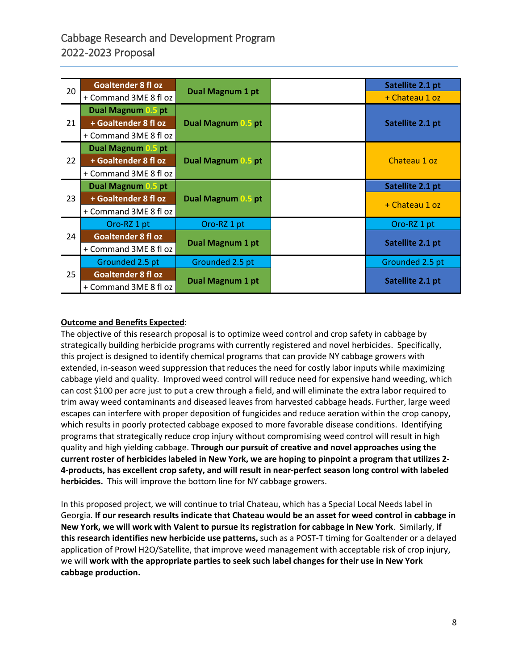|    | <b>Goaltender 8 fl oz</b> |                         | Satellite 2.1 pt |
|----|---------------------------|-------------------------|------------------|
| 20 |                           | <b>Dual Magnum 1 pt</b> |                  |
|    | + Command 3ME 8 fl oz     |                         | + Chateau 1 oz   |
| 21 | Dual Magnum 0.5 pt        |                         |                  |
|    | + Goaltender 8 fl oz      | Dual Magnum 0.5 pt      | Satellite 2.1 pt |
|    | + Command 3ME 8 fl oz     |                         |                  |
| 22 | Dual Magnum 0.5 pt        |                         |                  |
|    | + Goaltender 8 fl oz      | Dual Magnum 0.5 pt      | Chateau 1 oz     |
|    | + Command 3ME 8 fl oz     |                         |                  |
| 23 | Dual Magnum 0.5 pt        |                         | Satellite 2.1 pt |
|    | + Goaltender 8 fl oz      | Dual Magnum 0.5 pt      | + Chateau 1 oz   |
|    | + Command 3ME 8 fl oz     |                         |                  |
| 24 | Oro-RZ 1 pt               | Oro-RZ 1 pt             | Oro-RZ 1 pt      |
|    | <b>Goaltender 8 fl oz</b> |                         |                  |
|    | + Command 3ME 8 fl oz     | <b>Dual Magnum 1 pt</b> | Satellite 2.1 pt |
| 25 | Grounded 2.5 pt           | Grounded 2.5 pt         | Grounded 2.5 pt  |
|    | <b>Goaltender 8 fl oz</b> |                         |                  |
|    | + Command 3ME 8 fl oz     | <b>Dual Magnum 1 pt</b> | Satellite 2.1 pt |

## **Outcome and Benefits Expected**:

The objective of this research proposal is to optimize weed control and crop safety in cabbage by strategically building herbicide programs with currently registered and novel herbicides. Specifically, this project is designed to identify chemical programs that can provide NY cabbage growers with extended, in-season weed suppression that reduces the need for costly labor inputs while maximizing cabbage yield and quality. Improved weed control will reduce need for expensive hand weeding, which can cost \$100 per acre just to put a crew through a field, and will eliminate the extra labor required to trim away weed contaminants and diseased leaves from harvested cabbage heads. Further, large weed escapes can interfere with proper deposition of fungicides and reduce aeration within the crop canopy, which results in poorly protected cabbage exposed to more favorable disease conditions. Identifying programs that strategically reduce crop injury without compromising weed control will result in high quality and high yielding cabbage. **Through our pursuit of creative and novel approaches using the current roster of herbicides labeled in New York, we are hoping to pinpoint a program that utilizes 2- 4-products, has excellent crop safety, and will result in near-perfect season long control with labeled herbicides.** This will improve the bottom line for NY cabbage growers.

In this proposed project, we will continue to trial Chateau, which has a Special Local Needs label in Georgia. **If our research results indicate that Chateau would be an asset for weed control in cabbage in New York, we will work with Valent to pursue its registration for cabbage in New York**. Similarly, **if this research identifies new herbicide use patterns,** such as a POST-T timing for Goaltender or a delayed application of Prowl H2O/Satellite, that improve weed management with acceptable risk of crop injury, we will **work with the appropriate parties to seek such label changes for their use in New York cabbage production.**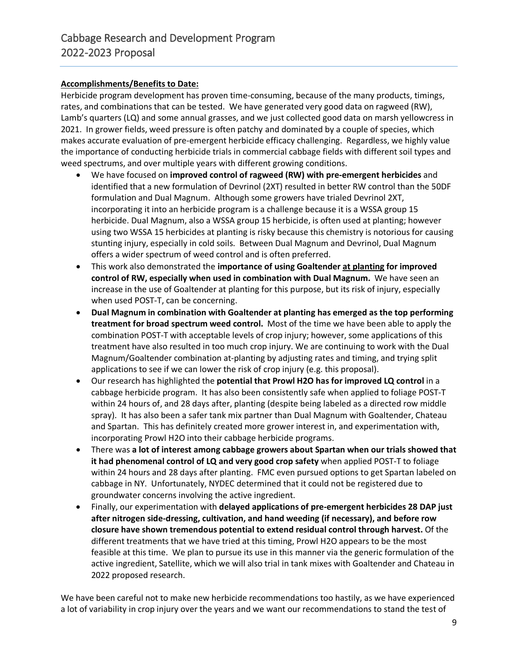#### **Accomplishments/Benefits to Date:**

Herbicide program development has proven time-consuming, because of the many products, timings, rates, and combinations that can be tested. We have generated very good data on ragweed (RW), Lamb's quarters (LQ) and some annual grasses, and we just collected good data on marsh yellowcress in 2021. In grower fields, weed pressure is often patchy and dominated by a couple of species, which makes accurate evaluation of pre-emergent herbicide efficacy challenging. Regardless, we highly value the importance of conducting herbicide trials in commercial cabbage fields with different soil types and weed spectrums, and over multiple years with different growing conditions.

- We have focused on **improved control of ragweed (RW) with pre-emergent herbicides** and identified that a new formulation of Devrinol (2XT) resulted in better RW control than the 50DF formulation and Dual Magnum. Although some growers have trialed Devrinol 2XT, incorporating it into an herbicide program is a challenge because it is a WSSA group 15 herbicide. Dual Magnum, also a WSSA group 15 herbicide, is often used at planting; however using two WSSA 15 herbicides at planting is risky because this chemistry is notorious for causing stunting injury, especially in cold soils. Between Dual Magnum and Devrinol, Dual Magnum offers a wider spectrum of weed control and is often preferred.
- This work also demonstrated the **importance of using Goaltender at planting for improved control of RW, especially when used in combination with Dual Magnum.** We have seen an increase in the use of Goaltender at planting for this purpose, but its risk of injury, especially when used POST-T, can be concerning.
- **Dual Magnum in combination with Goaltender at planting has emerged as the top performing treatment for broad spectrum weed control.** Most of the time we have been able to apply the combination POST-T with acceptable levels of crop injury; however, some applications of this treatment have also resulted in too much crop injury. We are continuing to work with the Dual Magnum/Goaltender combination at-planting by adjusting rates and timing, and trying split applications to see if we can lower the risk of crop injury (e.g. this proposal).
- Our research has highlighted the **potential that Prowl H2O has for improved LQ control** in a cabbage herbicide program. It has also been consistently safe when applied to foliage POST-T within 24 hours of, and 28 days after, planting (despite being labeled as a directed row middle spray). It has also been a safer tank mix partner than Dual Magnum with Goaltender, Chateau and Spartan. This has definitely created more grower interest in, and experimentation with, incorporating Prowl H2O into their cabbage herbicide programs.
- There was **a lot of interest among cabbage growers about Spartan when our trials showed that it had phenomenal control of LQ and very good crop safety** when applied POST-T to foliage within 24 hours and 28 days after planting. FMC even pursued options to get Spartan labeled on cabbage in NY. Unfortunately, NYDEC determined that it could not be registered due to groundwater concerns involving the active ingredient.
- Finally, our experimentation with **delayed applications of pre-emergent herbicides 28 DAP just after nitrogen side-dressing, cultivation, and hand weeding (if necessary), and before row closure have shown tremendous potential to extend residual control through harvest.** Of the different treatments that we have tried at this timing, Prowl H2O appears to be the most feasible at this time. We plan to pursue its use in this manner via the generic formulation of the active ingredient, Satellite, which we will also trial in tank mixes with Goaltender and Chateau in 2022 proposed research.

We have been careful not to make new herbicide recommendations too hastily, as we have experienced a lot of variability in crop injury over the years and we want our recommendations to stand the test of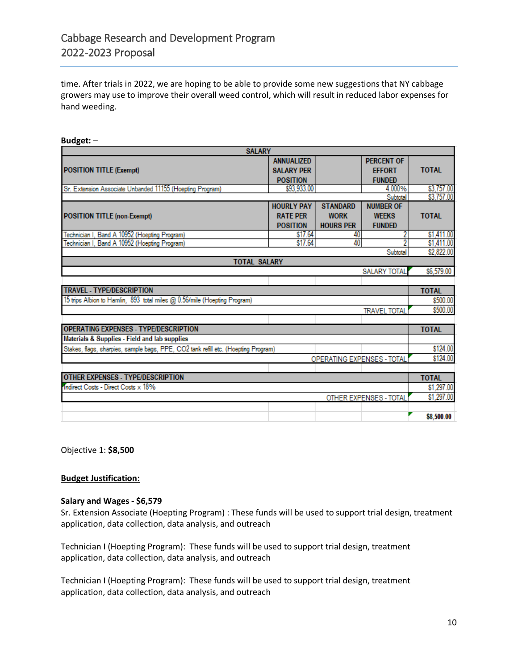time. After trials in 2022, we are hoping to be able to provide some new suggestions that NY cabbage growers may use to improve their overall weed control, which will result in reduced labor expenses for hand weeding.

| <b>SALARY</b>                                                                      |                   |                            |                     |                          |  |  |
|------------------------------------------------------------------------------------|-------------------|----------------------------|---------------------|--------------------------|--|--|
|                                                                                    | <b>ANNUALIZED</b> |                            | <b>PERCENT OF</b>   |                          |  |  |
| <b>POSITION TITLE (Exempt)</b>                                                     | <b>SALARY PER</b> |                            | <b>FFFORT</b>       | <b>TOTAL</b>             |  |  |
|                                                                                    | <b>POSITION</b>   |                            | <b>FUNDED</b>       |                          |  |  |
| Sr. Extension Associate Unbanded 11155 (Hoepting Program)                          | \$93,933.00       |                            | 4.000%              | \$3,757.00               |  |  |
|                                                                                    |                   |                            | Subtotal            | \$3,757.00               |  |  |
|                                                                                    | <b>HOURLY PAY</b> | <b>STANDARD</b>            | <b>NUMBER OF</b>    |                          |  |  |
| <b>POSITION TITLE (non-Exempt)</b>                                                 | <b>RATE PER</b>   | <b>WORK</b>                | <b>WEEKS</b>        | <b>TOTAL</b>             |  |  |
|                                                                                    | <b>POSITION</b>   | <b>HOURS PER</b>           | <b>FUNDED</b>       |                          |  |  |
| Technician I, Band A 10952 (Hoepting Program)                                      | \$17.64           | 40                         |                     | \$1,411.00               |  |  |
| Technician I, Band A 10952 (Hoepting Program)                                      | \$17.64           | 40                         |                     | \$1,411.00               |  |  |
|                                                                                    |                   |                            | Subtotal            | \$2,822.00               |  |  |
| <b>TOTAL SALARY</b>                                                                |                   |                            |                     |                          |  |  |
|                                                                                    |                   |                            | <b>SALARY TOTAL</b> | \$6,579.00               |  |  |
|                                                                                    |                   |                            |                     |                          |  |  |
| <b>TRAVEL - TYPE/DESCRIPTION</b>                                                   |                   |                            |                     | <b>TOTAL</b><br>\$500.00 |  |  |
| 15 trips Albion to Hamlin, 893 total miles @ 0.56/mile (Hoepting Program)          |                   |                            |                     |                          |  |  |
|                                                                                    |                   |                            | <b>TRAVEL TOTAL</b> | \$500.00                 |  |  |
|                                                                                    |                   |                            |                     |                          |  |  |
| <b>OPERATING EXPENSES - TYPE/DESCRIPTION</b>                                       |                   |                            |                     |                          |  |  |
| Materials & Supplies - Field and lab supplies                                      |                   |                            |                     |                          |  |  |
| Stakes, flags, sharpies, sample bags, PPE, CO2 tank refill etc. (Hoepting Program) |                   |                            |                     | \$124.00                 |  |  |
|                                                                                    |                   | OPERATING EXPENSES - TOTAL |                     | \$124.00                 |  |  |
|                                                                                    |                   |                            |                     |                          |  |  |
| <b>OTHER EXPENSES - TYPE/DESCRIPTION</b>                                           |                   |                            |                     | <b>TOTAL</b>             |  |  |
| Indirect Costs - Direct Costs x 18%                                                |                   |                            |                     |                          |  |  |
| OTHER EXPENSES - TOTAL                                                             |                   |                            |                     |                          |  |  |
|                                                                                    |                   |                            |                     | \$1,297.00               |  |  |
|                                                                                    |                   |                            |                     | \$8,500.00               |  |  |

**Budget:** –

Objective 1: **\$8,500**

#### **Budget Justification:**

#### **Salary and Wages - \$6,579**

Sr. Extension Associate (Hoepting Program) : These funds will be used to support trial design, treatment application, data collection, data analysis, and outreach

Technician I (Hoepting Program): These funds will be used to support trial design, treatment application, data collection, data analysis, and outreach

Technician I (Hoepting Program): These funds will be used to support trial design, treatment application, data collection, data analysis, and outreach